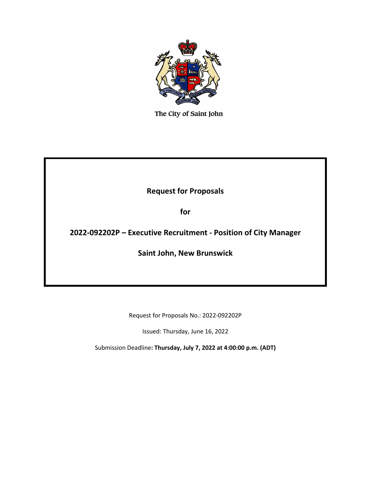

The City of Saint John

# **Request for Proposals**

**for**

# **2022-092202P – Executive Recruitment - Position of City Manager**

**Saint John, New Brunswick**

Request for Proposals No.: 2022-092202P

Issued: Thursday, June 16, 2022

Submission Deadline**: Thursday, July 7, 2022 at 4:00:00 p.m. (ADT)**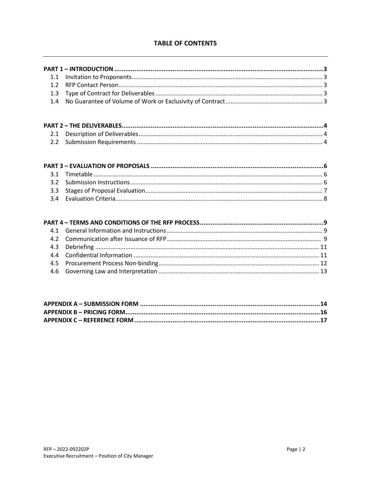## **TABLE OF CONTENTS**

| 1.1 |  |
|-----|--|
| 1.2 |  |
| 1.3 |  |
| 1.4 |  |
|     |  |
|     |  |
| 2.1 |  |
| 2.2 |  |
|     |  |
|     |  |
| 3.1 |  |
| 3.2 |  |
| 3.3 |  |
| 3.4 |  |
|     |  |
|     |  |
| 4.1 |  |
| 4.2 |  |
| 4.3 |  |
| 4.4 |  |
| 4.5 |  |
| 4.6 |  |
|     |  |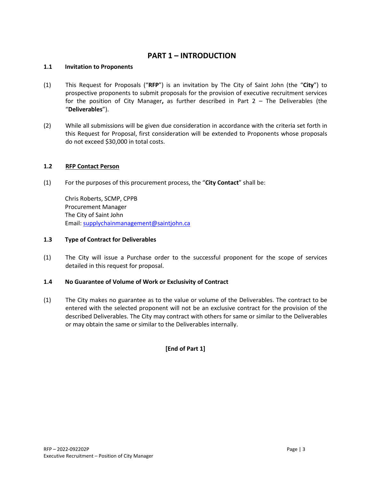# **PART 1 – INTRODUCTION**

### **1.1 Invitation to Proponents**

- (1) This Request for Proposals ("**RFP**") is an invitation by The City of Saint John (the "**City**") to prospective proponents to submit proposals for the provision of executive recruitment services for the position of City Manager**,** as further described in Part 2 – The Deliverables (the "**Deliverables**").
- (2) While all submissions will be given due consideration in accordance with the criteria set forth in this Request for Proposal, first consideration will be extended to Proponents whose proposals do not exceed \$30,000 in total costs.

## **1.2 RFP Contact Person**

(1) For the purposes of this procurement process, the "**City Contact**" shall be:

Chris Roberts, SCMP, CPPB Procurement Manager The City of Saint John Email: [supplychainmanagement@saintjohn.ca](mailto:supplychainmanagement@saintjohn.ca) 

## **1.3 Type of Contract for Deliverables**

(1) The City will issue a Purchase order to the successful proponent for the scope of services detailed in this request for proposal.

#### **1.4 No Guarantee of Volume of Work or Exclusivity of Contract**

(1) The City makes no guarantee as to the value or volume of the Deliverables. The contract to be entered with the selected proponent will not be an exclusive contract for the provision of the described Deliverables. The City may contract with others for same or similar to the Deliverables or may obtain the same or similar to the Deliverables internally.

## **[End of Part 1]**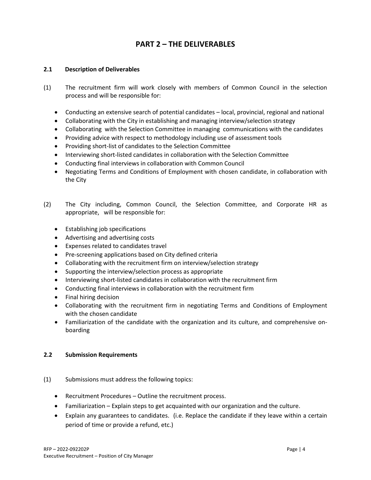# **PART 2 – THE DELIVERABLES**

### **2.1 Description of Deliverables**

- (1) The recruitment firm will work closely with members of Common Council in the selection process and will be responsible for:
	- Conducting an extensive search of potential candidates local, provincial, regional and national
	- Collaborating with the City in establishing and managing interview/selection strategy
	- Collaborating with the Selection Committee in managing communications with the candidates
	- Providing advice with respect to methodology including use of assessment tools
	- Providing short-list of candidates to the Selection Committee
	- Interviewing short-listed candidates in collaboration with the Selection Committee
	- Conducting final interviews in collaboration with Common Council
	- Negotiating Terms and Conditions of Employment with chosen candidate, in collaboration with the City
- (2) The City including, Common Council, the Selection Committee, and Corporate HR as appropriate, will be responsible for:
	- Establishing job specifications
	- Advertising and advertising costs
	- Expenses related to candidates travel
	- Pre-screening applications based on City defined criteria
	- Collaborating with the recruitment firm on interview/selection strategy
	- Supporting the interview/selection process as appropriate
	- Interviewing short-listed candidates in collaboration with the recruitment firm
	- Conducting final interviews in collaboration with the recruitment firm
	- Final hiring decision
	- Collaborating with the recruitment firm in negotiating Terms and Conditions of Employment with the chosen candidate
	- Familiarization of the candidate with the organization and its culture, and comprehensive onboarding

## **2.2 Submission Requirements**

- (1) Submissions must address the following topics:
	- Recruitment Procedures Outline the recruitment process.
	- Familiarization Explain steps to get acquainted with our organization and the culture.
	- Explain any guarantees to candidates. (i.e. Replace the candidate if they leave within a certain period of time or provide a refund, etc.)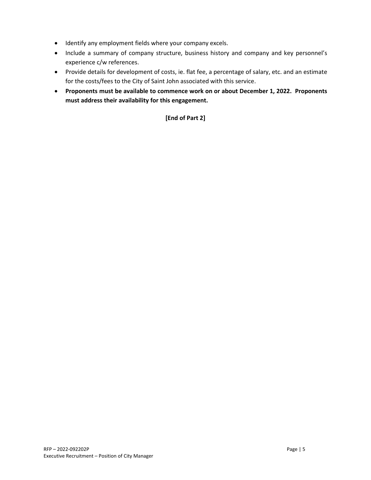- Identify any employment fields where your company excels.
- Include a summary of company structure, business history and company and key personnel's experience c/w references.
- Provide details for development of costs, ie. flat fee, a percentage of salary, etc. and an estimate for the costs/fees to the City of Saint John associated with this service.
- **Proponents must be available to commence work on or about December 1, 2022. Proponents must address their availability for this engagement.**

## **[End of Part 2]**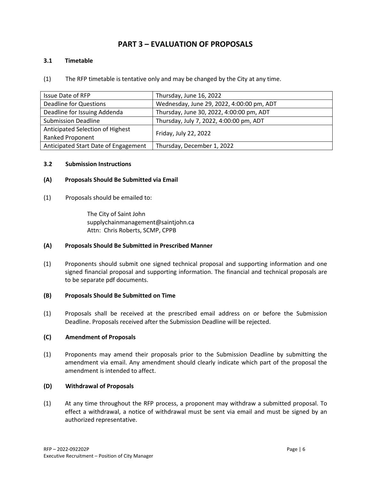# **PART 3 – EVALUATION OF PROPOSALS**

### **3.1 Timetable**

(1) The RFP timetable is tentative only and may be changed by the City at any time.

| <b>Issue Date of RFP</b>             | Thursday, June 16, 2022                   |
|--------------------------------------|-------------------------------------------|
| <b>Deadline for Questions</b>        | Wednesday, June 29, 2022, 4:00:00 pm, ADT |
| Deadline for Issuing Addenda         | Thursday, June 30, 2022, 4:00:00 pm, ADT  |
| <b>Submission Deadline</b>           | Thursday, July 7, 2022, 4:00:00 pm, ADT   |
| Anticipated Selection of Highest     | Friday, July 22, 2022                     |
| <b>Ranked Proponent</b>              |                                           |
| Anticipated Start Date of Engagement | Thursday, December 1, 2022                |

#### **3.2 Submission Instructions**

## **(A) Proposals Should Be Submitted via Email**

(1) Proposals should be emailed to:

The City of Saint John supplychainmanagement@saintjohn.ca Attn: Chris Roberts, SCMP, CPPB

#### **(A) Proposals Should Be Submitted in Prescribed Manner**

(1) Proponents should submit one signed technical proposal and supporting information and one signed financial proposal and supporting information. The financial and technical proposals are to be separate pdf documents.

#### **(B) Proposals Should Be Submitted on Time**

(1) Proposals shall be received at the prescribed email address on or before the Submission Deadline. Proposals received after the Submission Deadline will be rejected.

### **(C) Amendment of Proposals**

(1) Proponents may amend their proposals prior to the Submission Deadline by submitting the amendment via email. Any amendment should clearly indicate which part of the proposal the amendment is intended to affect.

#### **(D) Withdrawal of Proposals**

(1) At any time throughout the RFP process, a proponent may withdraw a submitted proposal. To effect a withdrawal, a notice of withdrawal must be sent via email and must be signed by an authorized representative.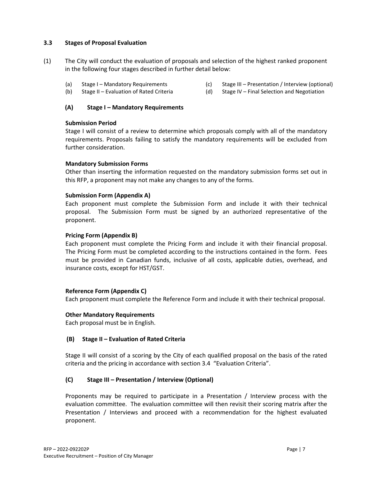#### **3.3 Stages of Proposal Evaluation**

- (1) The City will conduct the evaluation of proposals and selection of the highest ranked proponent in the following four stages described in further detail below:
	- (a) Stage I Mandatory Requirements
	- (b) Stage II Evaluation of Rated Criteria
	- **(A) Stage I – Mandatory Requirements**

#### **Submission Period**

Stage I will consist of a review to determine which proposals comply with all of the mandatory requirements. Proposals failing to satisfy the mandatory requirements will be excluded from further consideration.

#### **Mandatory Submission Forms**

Other than inserting the information requested on the mandatory submission forms set out in this RFP, a proponent may not make any changes to any of the forms.

#### **Submission Form (Appendix A)**

Each proponent must complete the Submission Form and include it with their technical proposal. The Submission Form must be signed by an authorized representative of the proponent.

#### **Pricing Form (Appendix B)**

Each proponent must complete the Pricing Form and include it with their financial proposal. The Pricing Form must be completed according to the instructions contained in the form. Fees must be provided in Canadian funds, inclusive of all costs, applicable duties, overhead, and insurance costs, except for HST/GST.

#### **Reference Form (Appendix C)**

Each proponent must complete the Reference Form and include it with their technical proposal.

#### **Other Mandatory Requirements**

Each proposal must be in English.

#### **(B) Stage II – Evaluation of Rated Criteria**

Stage II will consist of a scoring by the City of each qualified proposal on the basis of the rated criteria and the pricing in accordance with section 3.4 "Evaluation Criteria".

#### **(C) Stage III – Presentation / Interview (Optional)**

Proponents may be required to participate in a Presentation / Interview process with the evaluation committee. The evaluation committee will then revisit their scoring matrix after the Presentation / Interviews and proceed with a recommendation for the highest evaluated proponent.

- (c) Stage III Presentation / Interview (optional)
- (d) Stage IV Final Selection and Negotiation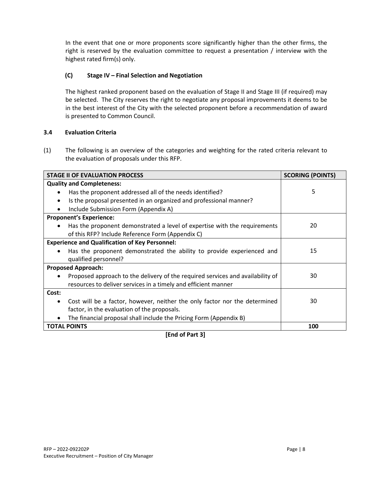In the event that one or more proponents score significantly higher than the other firms, the right is reserved by the evaluation committee to request a presentation / interview with the highest rated firm(s) only.

## **(C) Stage IV – Final Selection and Negotiation**

The highest ranked proponent based on the evaluation of Stage II and Stage III (if required) may be selected. The City reserves the right to negotiate any proposal improvements it deems to be in the best interest of the City with the selected proponent before a recommendation of award is presented to Common Council.

## **3.4 Evaluation Criteria**

(1) The following is an overview of the categories and weighting for the rated criteria relevant to the evaluation of proposals under this RFP.

| <b>STAGE II OF EVALUATION PROCESS</b>                                                                                                            | <b>SCORING (POINTS)</b> |
|--------------------------------------------------------------------------------------------------------------------------------------------------|-------------------------|
| <b>Quality and Completeness:</b>                                                                                                                 |                         |
| Has the proponent addressed all of the needs identified?                                                                                         | 5                       |
| Is the proposal presented in an organized and professional manner?<br>$\bullet$                                                                  |                         |
| Include Submission Form (Appendix A)                                                                                                             |                         |
| <b>Proponent's Experience:</b>                                                                                                                   |                         |
| Has the proponent demonstrated a level of expertise with the requirements                                                                        | 20                      |
| of this RFP? Include Reference Form (Appendix C)                                                                                                 |                         |
| <b>Experience and Qualification of Key Personnel:</b>                                                                                            |                         |
| Has the proponent demonstrated the ability to provide experienced and                                                                            | 15                      |
| qualified personnel?                                                                                                                             |                         |
| <b>Proposed Approach:</b>                                                                                                                        |                         |
| Proposed approach to the delivery of the required services and availability of<br>resources to deliver services in a timely and efficient manner | 30                      |
| Cost:                                                                                                                                            |                         |
| Cost will be a factor, however, neither the only factor nor the determined                                                                       | 30                      |
| factor, in the evaluation of the proposals.                                                                                                      |                         |
| The financial proposal shall include the Pricing Form (Appendix B)                                                                               |                         |
| <b>TOTAL POINTS</b>                                                                                                                              | 100                     |

**[End of Part 3]**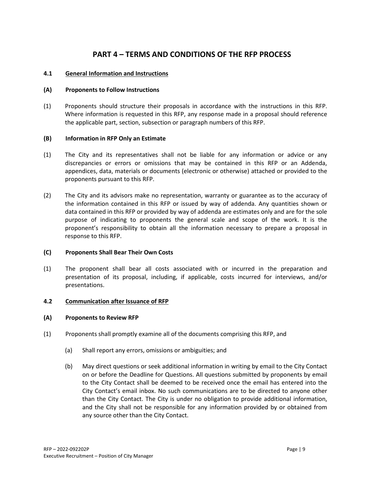## **PART 4 – TERMS AND CONDITIONS OF THE RFP PROCESS**

#### **4.1 General Information and Instructions**

#### **(A) Proponents to Follow Instructions**

(1) Proponents should structure their proposals in accordance with the instructions in this RFP. Where information is requested in this RFP, any response made in a proposal should reference the applicable part, section, subsection or paragraph numbers of this RFP.

#### **(B) Information in RFP Only an Estimate**

- (1) The City and its representatives shall not be liable for any information or advice or any discrepancies or errors or omissions that may be contained in this RFP or an Addenda, appendices, data, materials or documents (electronic or otherwise) attached or provided to the proponents pursuant to this RFP.
- (2) The City and its advisors make no representation, warranty or guarantee as to the accuracy of the information contained in this RFP or issued by way of addenda. Any quantities shown or data contained in this RFP or provided by way of addenda are estimates only and are for the sole purpose of indicating to proponents the general scale and scope of the work. It is the proponent's responsibility to obtain all the information necessary to prepare a proposal in response to this RFP.

#### **(C) Proponents Shall Bear Their Own Costs**

(1) The proponent shall bear all costs associated with or incurred in the preparation and presentation of its proposal, including, if applicable, costs incurred for interviews, and/or presentations.

#### **4.2 Communication after Issuance of RFP**

#### **(A) Proponents to Review RFP**

- (1) Proponents shall promptly examine all of the documents comprising this RFP, and
	- (a) Shall report any errors, omissions or ambiguities; and
	- (b) May direct questions or seek additional information in writing by email to the City Contact on or before the Deadline for Questions. All questions submitted by proponents by email to the City Contact shall be deemed to be received once the email has entered into the City Contact's email inbox. No such communications are to be directed to anyone other than the City Contact. The City is under no obligation to provide additional information, and the City shall not be responsible for any information provided by or obtained from any source other than the City Contact.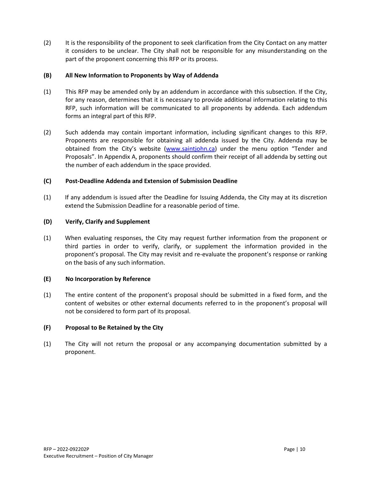(2) It is the responsibility of the proponent to seek clarification from the City Contact on any matter it considers to be unclear. The City shall not be responsible for any misunderstanding on the part of the proponent concerning this RFP or its process.

### **(B) All New Information to Proponents by Way of Addenda**

- (1) This RFP may be amended only by an addendum in accordance with this subsection. If the City, for any reason, determines that it is necessary to provide additional information relating to this RFP, such information will be communicated to all proponents by addenda. Each addendum forms an integral part of this RFP.
- (2) Such addenda may contain important information, including significant changes to this RFP. Proponents are responsible for obtaining all addenda issued by the City. Addenda may be obtained from the City's website [\(www.saintjohn.ca\)](http://www.saintjohn.ca/) under the menu option "Tender and Proposals". In Appendix A, proponents should confirm their receipt of all addenda by setting out the number of each addendum in the space provided.

## **(C) Post-Deadline Addenda and Extension of Submission Deadline**

(1) If any addendum is issued after the Deadline for Issuing Addenda, the City may at its discretion extend the Submission Deadline for a reasonable period of time.

## **(D) Verify, Clarify and Supplement**

(1) When evaluating responses, the City may request further information from the proponent or third parties in order to verify, clarify, or supplement the information provided in the proponent's proposal. The City may revisit and re-evaluate the proponent's response or ranking on the basis of any such information.

#### **(E) No Incorporation by Reference**

(1) The entire content of the proponent's proposal should be submitted in a fixed form, and the content of websites or other external documents referred to in the proponent's proposal will not be considered to form part of its proposal.

## **(F) Proposal to Be Retained by the City**

(1) The City will not return the proposal or any accompanying documentation submitted by a proponent.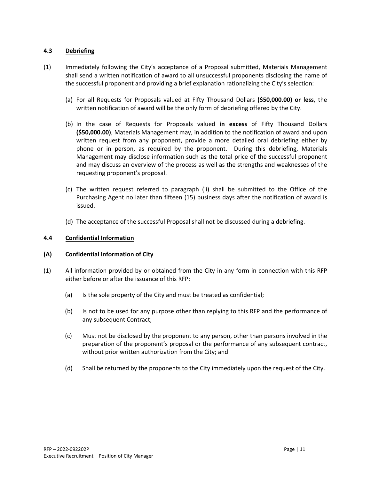#### **4.3 Debriefing**

- (1) Immediately following the City's acceptance of a Proposal submitted, Materials Management shall send a written notification of award to all unsuccessful proponents disclosing the name of the successful proponent and providing a brief explanation rationalizing the City's selection:
	- (a) For all Requests for Proposals valued at Fifty Thousand Dollars **(\$50,000.00) or less**, the written notification of award will be the only form of debriefing offered by the City.
	- (b) In the case of Requests for Proposals valued **in excess** of Fifty Thousand Dollars **(\$50,000.00)**, Materials Management may, in addition to the notification of award and upon written request from any proponent, provide a more detailed oral debriefing either by phone or in person, as required by the proponent. During this debriefing, Materials Management may disclose information such as the total price of the successful proponent and may discuss an overview of the process as well as the strengths and weaknesses of the requesting proponent's proposal.
	- (c) The written request referred to paragraph (ii) shall be submitted to the Office of the Purchasing Agent no later than fifteen (15) business days after the notification of award is issued.
	- (d) The acceptance of the successful Proposal shall not be discussed during a debriefing.

#### **4.4 Confidential Information**

#### **(A) Confidential Information of City**

- (1) All information provided by or obtained from the City in any form in connection with this RFP either before or after the issuance of this RFP:
	- (a) Is the sole property of the City and must be treated as confidential;
	- (b) Is not to be used for any purpose other than replying to this RFP and the performance of any subsequent Contract;
	- (c) Must not be disclosed by the proponent to any person, other than persons involved in the preparation of the proponent's proposal or the performance of any subsequent contract, without prior written authorization from the City; and
	- (d) Shall be returned by the proponents to the City immediately upon the request of the City.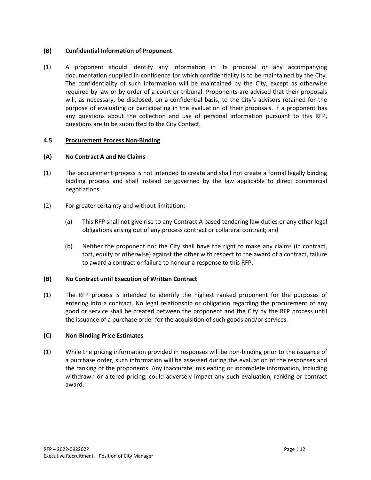## **(B) Confidential Information of Proponent**

(1) A proponent should identify any information in its proposal or any accompanying documentation supplied in confidence for which confidentiality is to be maintained by the City. The confidentiality of such information will be maintained by the City, except as otherwise required by law or by order of a court or tribunal. Proponents are advised that their proposals will, as necessary, be disclosed, on a confidential basis, to the City's advisors retained for the purpose of evaluating or participating in the evaluation of their proposals. If a proponent has any questions about the collection and use of personal information pursuant to this RFP, questions are to be submitted to the City Contact.

#### **4.5 Procurement Process Non-Binding**

#### **(A) No Contract A and No Claims**

- (1) The procurement process is not intended to create and shall not create a formal legally binding bidding process and shall instead be governed by the law applicable to direct commercial negotiations.
- (2) For greater certainty and without limitation:
	- (a) This RFP shall not give rise to any Contract A based tendering law duties or any other legal obligations arising out of any process contract or collateral contract; and
	- (b) Neither the proponent nor the City shall have the right to make any claims (in contract, tort, equity or otherwise) against the other with respect to the award of a contract, failure to award a contract or failure to honour a response to this RFP.

#### **(B) No Contract until Execution of Written Contract**

(1) The RFP process is intended to identify the highest ranked proponent for the purposes of entering into a contract. No legal relationship or obligation regarding the procurement of any good or service shall be created between the proponent and the City by the RFP process until the issuance of a purchase order for the acquisition of such goods and/or services.

#### **(C) Non-Binding Price Estimates**

(1) While the pricing information provided in responses will be non-binding prior to the issuance of a purchase order, such information will be assessed during the evaluation of the responses and the ranking of the proponents. Any inaccurate, misleading or incomplete information, including withdrawn or altered pricing, could adversely impact any such evaluation, ranking or contract award.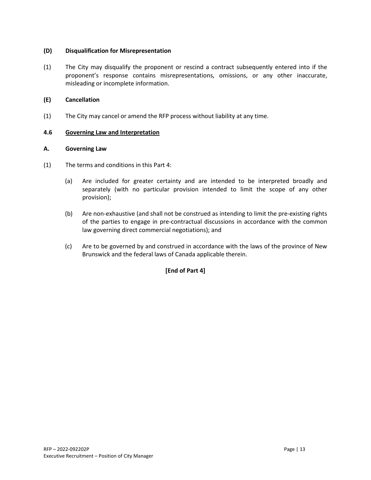### **(D) Disqualification for Misrepresentation**

(1) The City may disqualify the proponent or rescind a contract subsequently entered into if the proponent's response contains misrepresentations, omissions, or any other inaccurate, misleading or incomplete information.

## **(E) Cancellation**

(1) The City may cancel or amend the RFP process without liability at any time.

#### **4.6 Governing Law and Interpretation**

## **A. Governing Law**

- (1) The terms and conditions in this Part 4:
	- (a) Are included for greater certainty and are intended to be interpreted broadly and separately (with no particular provision intended to limit the scope of any other provision);
	- (b) Are non-exhaustive (and shall not be construed as intending to limit the pre-existing rights of the parties to engage in pre-contractual discussions in accordance with the common law governing direct commercial negotiations); and
	- (c) Are to be governed by and construed in accordance with the laws of the province of New Brunswick and the federal laws of Canada applicable therein.

## **[End of Part 4]**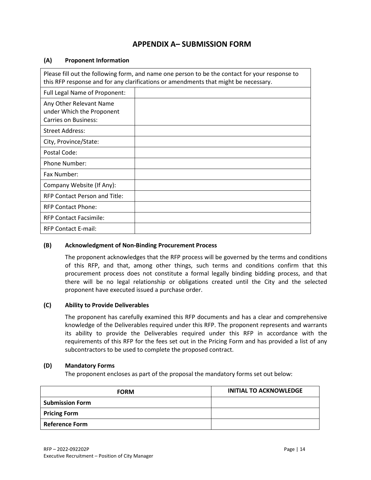# **APPENDIX A– SUBMISSION FORM**

#### **(A) Proponent Information**

| Please fill out the following form, and name one person to be the contact for your response to<br>this RFP response and for any clarifications or amendments that might be necessary. |  |  |
|---------------------------------------------------------------------------------------------------------------------------------------------------------------------------------------|--|--|
| Full Legal Name of Proponent:                                                                                                                                                         |  |  |
| Any Other Relevant Name<br>under Which the Proponent<br><b>Carries on Business:</b>                                                                                                   |  |  |
| Street Address:                                                                                                                                                                       |  |  |
| City, Province/State:                                                                                                                                                                 |  |  |
| Postal Code:                                                                                                                                                                          |  |  |
| <b>Phone Number:</b>                                                                                                                                                                  |  |  |
| Fax Number:                                                                                                                                                                           |  |  |
| Company Website (If Any):                                                                                                                                                             |  |  |
| RFP Contact Person and Title:                                                                                                                                                         |  |  |
| <b>RFP Contact Phone:</b>                                                                                                                                                             |  |  |
| <b>RFP Contact Facsimile:</b>                                                                                                                                                         |  |  |
| <b>RFP Contact E-mail:</b>                                                                                                                                                            |  |  |

#### **(B) Acknowledgment of Non-Binding Procurement Process**

The proponent acknowledges that the RFP process will be governed by the terms and conditions of this RFP, and that, among other things, such terms and conditions confirm that this procurement process does not constitute a formal legally binding bidding process, and that there will be no legal relationship or obligations created until the City and the selected proponent have executed issued a purchase order.

### **(C) Ability to Provide Deliverables**

The proponent has carefully examined this RFP documents and has a clear and comprehensive knowledge of the Deliverables required under this RFP. The proponent represents and warrants its ability to provide the Deliverables required under this RFP in accordance with the requirements of this RFP for the fees set out in the Pricing Form and has provided a list of any subcontractors to be used to complete the proposed contract.

#### **(D) Mandatory Forms**

The proponent encloses as part of the proposal the mandatory forms set out below:

| <b>FORM</b>            | <b>INITIAL TO ACKNOWLEDGE</b> |
|------------------------|-------------------------------|
| <b>Submission Form</b> |                               |
| <b>Pricing Form</b>    |                               |
| <b>Reference Form</b>  |                               |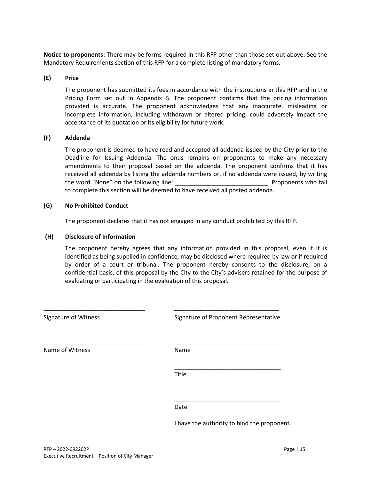**Notice to proponents:** There may be forms required in this RFP other than those set out above. See the Mandatory Requirements section of this RFP for a complete listing of mandatory forms.

#### **(E) Price**

The proponent has submitted its fees in accordance with the instructions in this RFP and in the Pricing Form set out in Appendix B. The proponent confirms that the pricing information provided is accurate. The proponent acknowledges that any inaccurate, misleading or incomplete information, including withdrawn or altered pricing, could adversely impact the acceptance of its quotation or its eligibility for future work.

#### **(F) Addenda**

The proponent is deemed to have read and accepted all addenda issued by the City prior to the Deadline for Issuing Addenda. The onus remains on proponents to make any necessary amendments to their proposal based on the addenda. The proponent confirms that it has received all addenda by listing the addenda numbers or, if no addenda were issued, by writing the word "None" on the following line: \_\_\_\_\_\_\_\_\_\_\_\_\_\_\_\_\_\_\_\_\_\_\_\_\_\_\_\_\_\_\_. Proponents who fail to complete this section will be deemed to have received all posted addenda.

#### **(G) No Prohibited Conduct**

The proponent declares that it has not engaged in any conduct prohibited by this RFP.

#### **(H) Disclosure of Information**

The proponent hereby agrees that any information provided in this proposal, even if it is identified as being supplied in confidence, may be disclosed where required by law or if required by order of a court or tribunal. The proponent hereby consents to the disclosure, on a confidential basis, of this proposal by the City to the City's advisers retained for the purpose of evaluating or participating in the evaluation of this proposal.

| Signature of Witness | Signature of Proponent Representative |
|----------------------|---------------------------------------|
| Name of Witness      | Name                                  |
|                      | Title                                 |
|                      | Date                                  |

I have the authority to bind the proponent.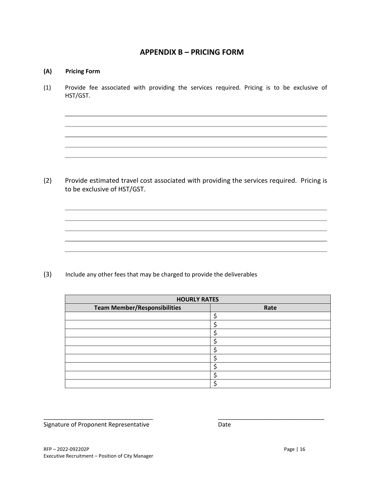## **APPENDIX B – PRICING FORM**

## **(A) Pricing Form**

(1) Provide fee associated with providing the services required. Pricing is to be exclusive of HST/GST.

(2) Provide estimated travel cost associated with providing the services required. Pricing is to be exclusive of HST/GST.

the contract of the contract of the contract of the contract of the contract of the contract of the contract of

(3) Include any other fees that may be charged to provide the deliverables

| <b>HOURLY RATES</b>                 |      |  |
|-------------------------------------|------|--|
| <b>Team Member/Responsibilities</b> | Rate |  |
|                                     |      |  |
|                                     |      |  |
|                                     |      |  |
|                                     |      |  |
|                                     |      |  |
|                                     |      |  |
|                                     |      |  |
|                                     |      |  |
|                                     |      |  |

\_\_\_\_\_\_\_\_\_\_\_\_\_\_\_\_\_\_\_\_\_\_\_\_\_\_\_\_\_\_\_\_\_\_\_\_\_\_\_\_\_\_\_\_\_\_\_\_\_\_\_\_\_\_\_\_\_\_\_\_\_\_\_\_\_

Signature of Proponent Representative **Date** Date